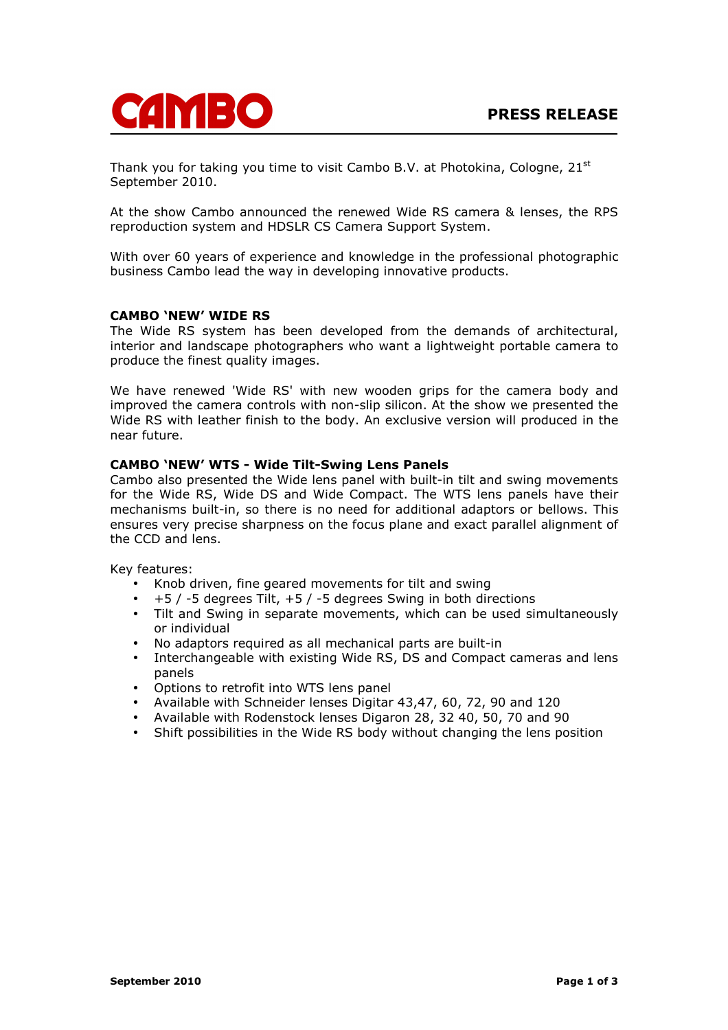

Thank you for taking you time to visit Cambo B.V. at Photokina, Cologne, 21<sup>st</sup> September 2010.

At the show Cambo announced the renewed Wide RS camera & lenses, the RPS reproduction system and HDSLR CS Camera Support System.

With over 60 years of experience and knowledge in the professional photographic business Cambo lead the way in developing innovative products.

### CAMBO 'NEW' WIDE RS

The Wide RS system has been developed from the demands of architectural, interior and landscape photographers who want a lightweight portable camera to produce the finest quality images.

We have renewed 'Wide RS' with new wooden grips for the camera body and improved the camera controls with non-slip silicon. At the show we presented the Wide RS with leather finish to the body. An exclusive version will produced in the near future.

## CAMBO 'NEW' WTS - Wide Tilt-Swing Lens Panels

Cambo also presented the Wide lens panel with built-in tilt and swing movements for the Wide RS, Wide DS and Wide Compact. The WTS lens panels have their mechanisms built-in, so there is no need for additional adaptors or bellows. This ensures very precise sharpness on the focus plane and exact parallel alignment of the CCD and lens.

Key features:

- Knob driven, fine geared movements for tilt and swing
- +5 / -5 degrees Tilt, +5 / -5 degrees Swing in both directions
- Tilt and Swing in separate movements, which can be used simultaneously or individual
- No adaptors required as all mechanical parts are built-in
- Interchangeable with existing Wide RS, DS and Compact cameras and lens panels
- Options to retrofit into WTS lens panel
- Available with Schneider lenses Digitar 43,47, 60, 72, 90 and 120
- Available with Rodenstock lenses Digaron 28, 32 40, 50, 70 and 90
- Shift possibilities in the Wide RS body without changing the lens position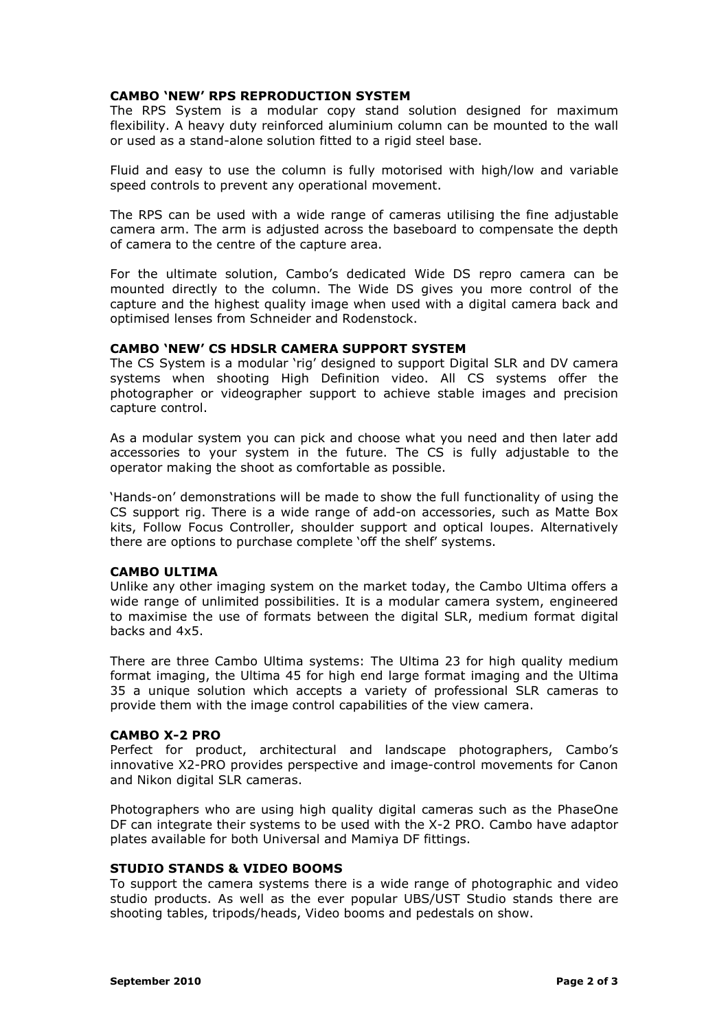### CAMBO 'NEW' RPS REPRODUCTION SYSTEM

The RPS System is a modular copy stand solution designed for maximum flexibility. A heavy duty reinforced aluminium column can be mounted to the wall or used as a stand-alone solution fitted to a rigid steel base.

Fluid and easy to use the column is fully motorised with high/low and variable speed controls to prevent any operational movement.

The RPS can be used with a wide range of cameras utilising the fine adjustable camera arm. The arm is adjusted across the baseboard to compensate the depth of camera to the centre of the capture area.

For the ultimate solution, Cambo's dedicated Wide DS repro camera can be mounted directly to the column. The Wide DS gives you more control of the capture and the highest quality image when used with a digital camera back and optimised lenses from Schneider and Rodenstock.

### CAMBO 'NEW' CS HDSLR CAMERA SUPPORT SYSTEM

The CS System is a modular 'rig' designed to support Digital SLR and DV camera systems when shooting High Definition video. All CS systems offer the photographer or videographer support to achieve stable images and precision capture control.

As a modular system you can pick and choose what you need and then later add accessories to your system in the future. The CS is fully adjustable to the operator making the shoot as comfortable as possible.

'Hands-on' demonstrations will be made to show the full functionality of using the CS support rig. There is a wide range of add-on accessories, such as Matte Box kits, Follow Focus Controller, shoulder support and optical loupes. Alternatively there are options to purchase complete 'off the shelf' systems.

## CAMBO ULTIMA

Unlike any other imaging system on the market today, the Cambo Ultima offers a wide range of unlimited possibilities. It is a modular camera system, engineered to maximise the use of formats between the digital SLR, medium format digital backs and 4x5.

There are three Cambo Ultima systems: The Ultima 23 for high quality medium format imaging, the Ultima 45 for high end large format imaging and the Ultima 35 a unique solution which accepts a variety of professional SLR cameras to provide them with the image control capabilities of the view camera.

#### CAMBO X-2 PRO

Perfect for product, architectural and landscape photographers, Cambo's innovative X2-PRO provides perspective and image-control movements for Canon and Nikon digital SLR cameras.

Photographers who are using high quality digital cameras such as the PhaseOne DF can integrate their systems to be used with the X-2 PRO. Cambo have adaptor plates available for both Universal and Mamiya DF fittings.

## STUDIO STANDS & VIDEO BOOMS

To support the camera systems there is a wide range of photographic and video studio products. As well as the ever popular UBS/UST Studio stands there are shooting tables, tripods/heads, Video booms and pedestals on show.